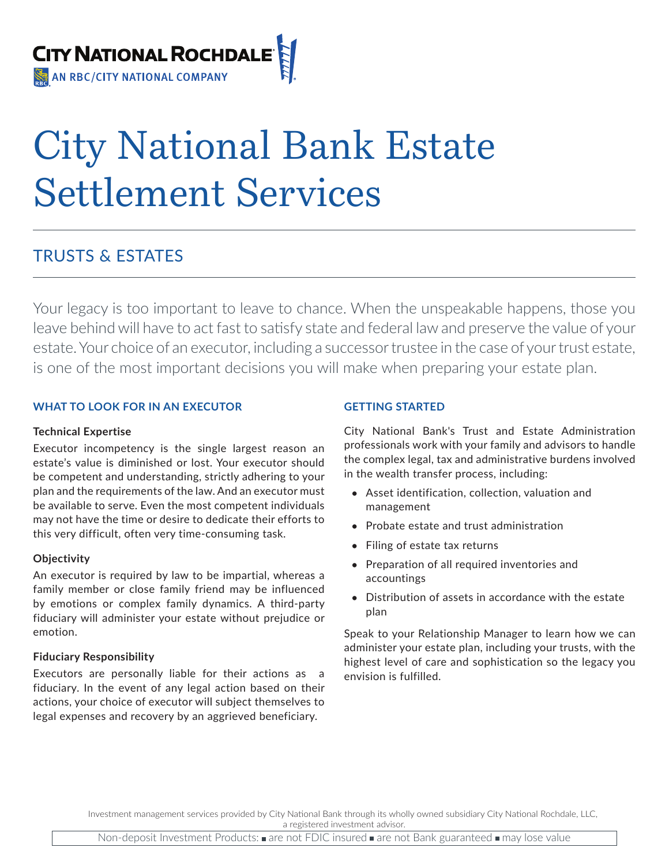

# City National Bank Estate Settlement Services

## TRUSTS & ESTATES

Your legacy is too important to leave to chance. When the unspeakable happens, those you leave behind will have to act fast to satisfy state and federal law and preserve the value of your estate. Your choice of an executor, including a successor trustee in the case of your trust estate, is one of the most important decisions you will make when preparing your estate plan.

### **WHAT TO LOOK FOR IN AN EXECUTOR**

#### **Technical Expertise**

Executor incompetency is the single largest reason an estate's value is diminished or lost. Your executor should be competent and understanding, strictly adhering to your plan and the requirements of the law. And an executor must be available to serve. Even the most competent individuals may not have the time or desire to dedicate their efforts to this very difficult, often very time-consuming task.

#### **Objectivity**

An executor is required by law to be impartial, whereas a family member or close family friend may be influenced by emotions or complex family dynamics. A third-party fiduciary will administer your estate without prejudice or emotion.

#### **Fiduciary Responsibility**

Executors are personally liable for their actions as a fiduciary. In the event of any legal action based on their actions, your choice of executor will subject themselves to legal expenses and recovery by an aggrieved beneficiary.

### **GETTING STARTED**

City National Bank's Trust and Estate Administration professionals work with your family and advisors to handle the complex legal, tax and administrative burdens involved in the wealth transfer process, including:

- **•** Asset identification, collection, valuation and management
- **•** Probate estate and trust administration
- **•** Filing of estate tax returns
- **•** Preparation of all required inventories and accountings
- **•** Distribution of assets in accordance with the estate plan

Speak to your Relationship Manager to learn how we can administer your estate plan, including your trusts, with the highest level of care and sophistication so the legacy you envision is fulfilled.

Investment management services provided by City National Bank through its wholly owned subsidiary City National Rochdale, LLC, a registered investment advisor.